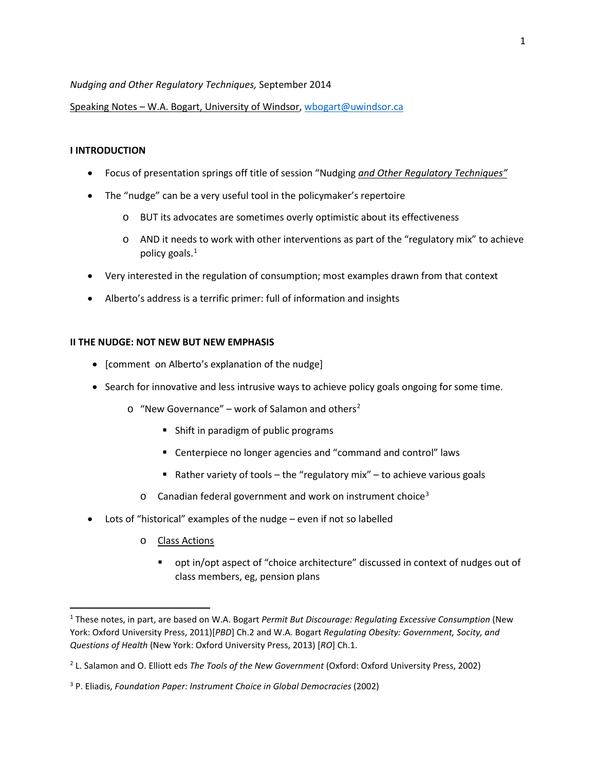### *Nudging and Other Regulatory Techniques,* September 2014

Speaking Notes – W.A. Bogart, University of Windsor, [wbogart@uwindsor.ca](mailto:wbogart@uwindsor.ca)

### **I INTRODUCTION**

- Focus of presentation springs off title of session "Nudging *and Other Regulatory Techniques"*
- The "nudge" can be a very useful tool in the policymaker's repertoire
	- o BUT its advocates are sometimes overly optimistic about its effectiveness
	- $\circ$  AND it needs to work with other interventions as part of the "regulatory mix" to achieve policy goals.<sup>[1](#page-0-0)</sup>
- Very interested in the regulation of consumption; most examples drawn from that context
- Alberto's address is a terrific primer: full of information and insights

### **II THE NUDGE: NOT NEW BUT NEW EMPHASIS**

- [comment on Alberto's explanation of the nudge]
- Search for innovative and less intrusive ways to achieve policy goals ongoing for some time.
	- $\circ$  "New Governance" work of Salamon and others<sup>[2](#page-0-1)</sup>
		- **Shift in paradigm of public programs**
		- Centerpiece no longer agencies and "command and control" laws
		- Rather variety of tools the "regulatory mix" to achieve various goals
		- o Canadian federal government and work on instrument choice[3](#page-0-2)
- Lots of "historical" examples of the nudge even if not so labelled
	- o Class Actions

 $\overline{a}$ 

 opt in/opt aspect of "choice architecture" discussed in context of nudges out of class members, eg, pension plans

<span id="page-0-0"></span><sup>1</sup> These notes, in part, are based on W.A. Bogart *Permit But Discourage: Regulating Excessive Consumption* (New York: Oxford University Press, 2011)[*PBD*] Ch.2 and W.A. Bogart *Regulating Obesity: Government, Socity, and Questions of Health* (New York: Oxford University Press, 2013) [*RO*] Ch.1.

<span id="page-0-1"></span><sup>2</sup> L. Salamon and O. Elliott eds *The Tools of the New Government* (Oxford: Oxford University Press, 2002)

<span id="page-0-2"></span><sup>3</sup> P. Eliadis, *Foundation Paper: Instrument Choice in Global Democracies* (2002)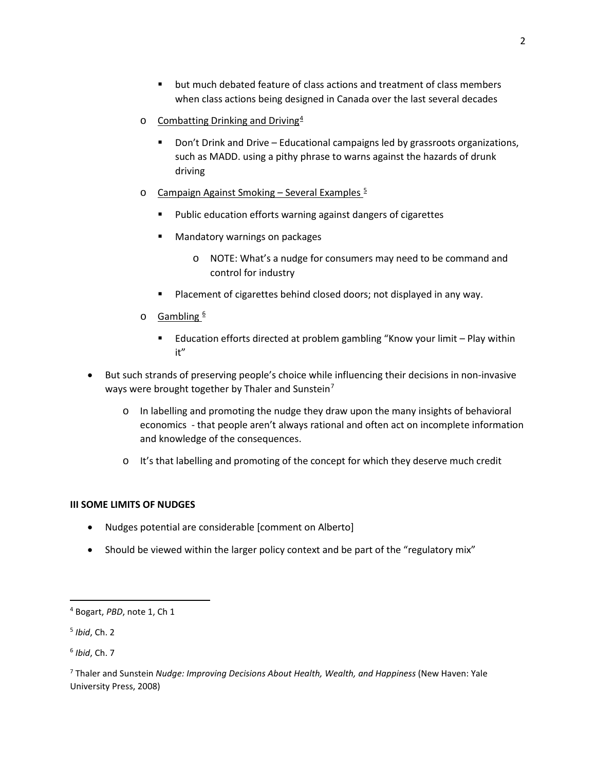- but much debated feature of class actions and treatment of class members when class actions being designed in Canada over the last several decades
- $\circ$  Combatting Drinking and Driving<sup>[4](#page-1-0)</sup>
	- **Don't Drink and Drive Educational campaigns led by grassroots organizations,** such as MADD. using a pithy phrase to warns against the hazards of drunk driving
- o Campaign Against Smoking Several Examples  $5$ 
	- Public education efforts warning against dangers of cigarettes
	- **Mandatory warnings on packages** 
		- o NOTE: What's a nudge for consumers may need to be command and control for industry
	- Placement of cigarettes behind closed doors; not displayed in any way.
- $\circ$  Gambling  $6$ 
	- Education efforts directed at problem gambling "Know your limit Play within it"
- But such strands of preserving people's choice while influencing their decisions in non-invasive ways were brought together by Thaler and Sunstein<sup>[7](#page-1-3)</sup>
	- o In labelling and promoting the nudge they draw upon the many insights of behavioral economics - that people aren't always rational and often act on incomplete information and knowledge of the consequences.
	- o It's that labelling and promoting of the concept for which they deserve much credit

# **III SOME LIMITS OF NUDGES**

- Nudges potential are considerable [comment on Alberto]
- Should be viewed within the larger policy context and be part of the "regulatory mix"

 $\overline{\phantom{a}}$ 

<span id="page-1-0"></span><sup>4</sup> Bogart, *PBD*, note 1, Ch 1

<span id="page-1-1"></span><sup>5</sup> *Ibid*, Ch. 2

<span id="page-1-2"></span><sup>6</sup> *Ibid*, Ch. 7

<span id="page-1-3"></span><sup>7</sup> Thaler and Sunstein *Nudge: Improving Decisions About Health, Wealth, and Happiness* (New Haven: Yale University Press, 2008)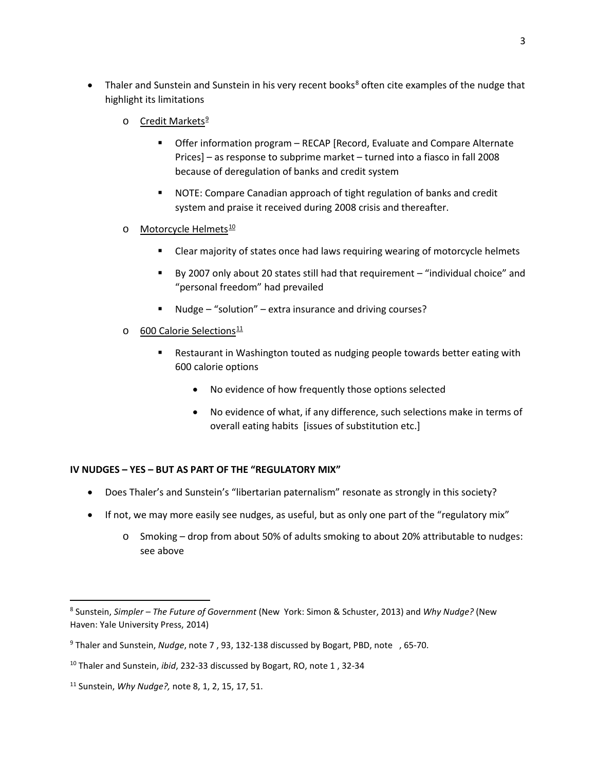- Thaler and Sunstein and Sunstein in his very recent books<sup>[8](#page-2-0)</sup> often cite examples of the nudge that highlight its limitations
	- o Credit Markets<sup>[9](#page-2-1)</sup>
		- **Offer information program RECAP [Record, Evaluate and Compare Alternate** Prices] – as response to subprime market – turned into a fiasco in fall 2008 because of deregulation of banks and credit system
		- NOTE: Compare Canadian approach of tight regulation of banks and credit system and praise it received during 2008 crisis and thereafter.
	- o Motorcycle Helmets<sup>[10](#page-2-2)</sup>
		- **EXPLORER THE Clear majority of states once had laws requiring wearing of motorcycle helmets**
		- By 2007 only about 20 states still had that requirement "individual choice" and "personal freedom" had prevailed
		- Nudge "solution" extra insurance and driving courses?
	- o 600 Calorie Selections<sup>[11](#page-2-3)</sup>
		- Restaurant in Washington touted as nudging people towards better eating with 600 calorie options
			- No evidence of how frequently those options selected
			- No evidence of what, if any difference, such selections make in terms of overall eating habits [issues of substitution etc.]

# **IV NUDGES – YES – BUT AS PART OF THE "REGULATORY MIX"**

- Does Thaler's and Sunstein's "libertarian paternalism" resonate as strongly in this society?
- If not, we may more easily see nudges, as useful, but as only one part of the "regulatory mix"
	- o Smoking drop from about 50% of adults smoking to about 20% attributable to nudges: see above

 $\overline{\phantom{a}}$ 

<span id="page-2-0"></span><sup>8</sup> Sunstein, *Simpler – The Future of Government* (New York: Simon & Schuster, 2013) and *Why Nudge?* (New Haven: Yale University Press, 2014)

<span id="page-2-1"></span><sup>9</sup> Thaler and Sunstein, *Nudge*, note 7 , 93, 132-138 discussed by Bogart, PBD, note , 65-70.

<span id="page-2-2"></span><sup>10</sup> Thaler and Sunstein, *ibid*, 232-33 discussed by Bogart, RO, note 1 , 32-34

<span id="page-2-3"></span><sup>11</sup> Sunstein, *Why Nudge?,* note 8, 1, 2, 15, 17, 51.